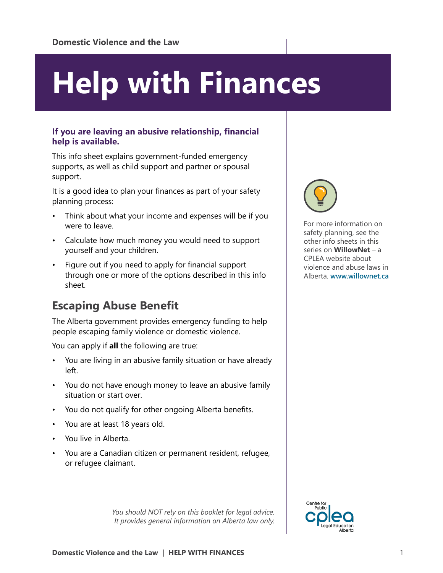# **Help with Finances**

#### **If you are leaving an abusive relationship, financial help is available.**

This info sheet explains government-funded emergency supports, as well as child support and partner or spousal support.

It is a good idea to plan your finances as part of your safety planning process:

- Think about what your income and expenses will be if you were to leave.
- Calculate how much money you would need to support yourself and your children.
- Figure out if you need to apply for financial support through one or more of the options described in this info sheet.

## **Escaping Abuse Benefit**

The Alberta government provides emergency funding to help people escaping family violence or domestic violence.

You can apply if **all** the following are true:

- You are living in an abusive family situation or have already left.
- You do not have enough money to leave an abusive family situation or start over.
- You do not qualify for other ongoing Alberta benefits.
- You are at least 18 years old.
- You live in Alberta.
- You are a Canadian citizen or permanent resident, refugee, or refugee claimant.

*You should NOT rely on this booklet for legal advice. It provides general information on Alberta law only.*



For more information on safety planning, see the other info sheets in this series on **WillowNet** – a CPLEA website about violence and abuse laws in Alberta. **[www.willownet.ca](http://www.willownet.ca)**

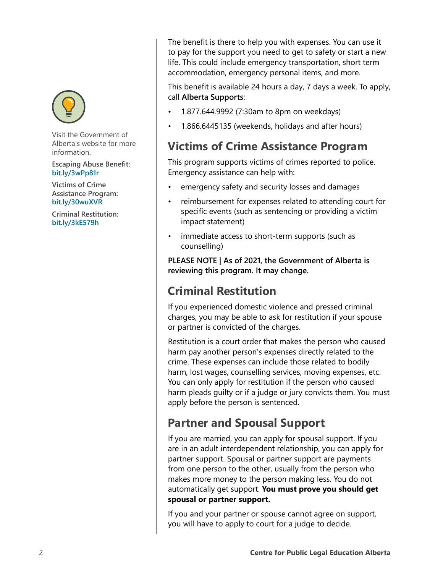

Visit the Government of Alberta's website for more information.

**Escaping Abuse Benefit: [bit.ly/3wPp81r](https://bit.ly/3wPp81r)**

**Victims of Crime Assistance Program: [bit.ly/30wuXVR](https://bit.ly/30wuXVR)**

**Criminal Restitution: [bit.ly/3kE579h](https://bit.ly/3kE579h)**

The benefit is there to help you with expenses. You can use it to pay for the support you need to get to safety or start a new life. This could include emergency transportation, short term accommodation, emergency personal items, and more.

This benefit is available 24 hours a day, 7 days a week. To apply, call **Alberta Supports**:

- 1.877.644.9992 (7:30am to 8pm on weekdays)
- 1.866.6445135 (weekends, holidays and after hours)

## **Victims of Crime Assistance Program**

This program supports victims of crimes reported to police. Emergency assistance can help with:

- emergency safety and security losses and damages
- reimbursement for expenses related to attending court for specific events (such as sentencing or providing a victim impact statement)
- immediate access to short-term supports (such as counselling)

**PLEASE NOTE | As of 2021, the Government of Alberta is reviewing this program. It may change.**

## **Criminal Restitution**

If you experienced domestic violence and pressed criminal charges, you may be able to ask for restitution if your spouse or partner is convicted of the charges.

Restitution is a court order that makes the person who caused harm pay another person's expenses directly related to the crime. These expenses can include those related to bodily harm, lost wages, counselling services, moving expenses, etc. You can only apply for restitution if the person who caused harm pleads guilty or if a judge or jury convicts them. You must apply before the person is sentenced.

## **Partner and Spousal Support**

If you are married, you can apply for spousal support. If you are in an adult interdependent relationship, you can apply for partner support. Spousal or partner support are payments from one person to the other, usually from the person who makes more money to the person making less. You do not automatically get support. **You must prove you should get spousal or partner support.**

If you and your partner or spouse cannot agree on support, you will have to apply to court for a judge to decide.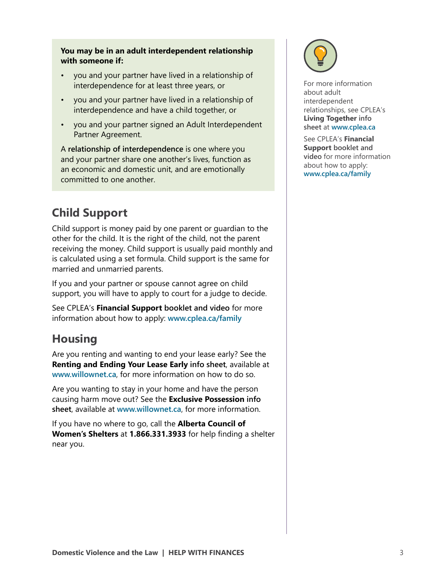#### **You may be in an adult interdependent relationship with someone if:**

- you and your partner have lived in a relationship of interdependence for at least three years, or
- you and your partner have lived in a relationship of interdependence and have a child together, or
- you and your partner signed an Adult Interdependent Partner Agreement.

A **relationship of interdependence** is one where you and your partner share one another's lives, function as an economic and domestic unit, and are emotionally committed to one another.

# **Child Support**

Child support is money paid by one parent or guardian to the other for the child. It is the right of the child, not the parent receiving the money. Child support is usually paid monthly and is calculated using a set formula. Child support is the same for married and unmarried parents.

If you and your partner or spouse cannot agree on child support, you will have to apply to court for a judge to decide.

See CPLEA's **Financial Support booklet and video** for more information about how to apply: **[www.cplea.ca/family](http://www.cplea.ca/family)**

## **Housing**

Are you renting and wanting to end your lease early? See the **Renting and Ending Your Lease Early info sheet**, available at **[www.willownet.ca](http://www.willownet.ca)**, for more information on how to do so.

Are you wanting to stay in your home and have the person causing harm move out? See the **Exclusive Possession info sheet**, available at **[www.willownet.ca](http://www.willownet.ca)**, for more information.

If you have no where to go, call the **Alberta Council of Women's Shelters** at **1.866.331.3933** for help finding a shelter near you.



For more information about adult interdependent relationships, see CPLEA's **Living Together info sheet** at **[www.cplea.ca](http://www.cplea.ca )**

See CPLEA's **Financial Support booklet and video** for more information about how to apply: **[www.cplea.ca/family](http://www.cplea.ca/family)**